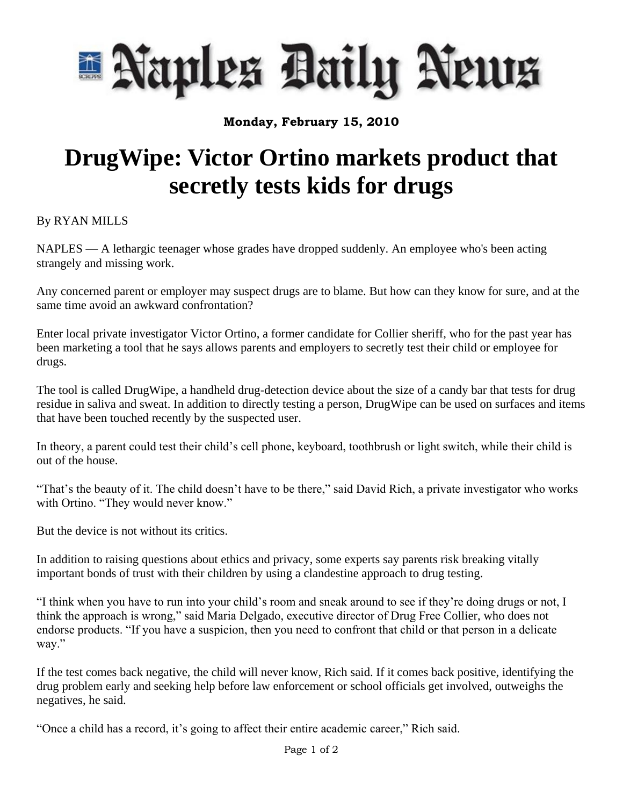

**Monday, February 15, 2010**

## **DrugWipe: Victor Ortino markets product that secretly tests kids for drugs**

By RYAN MILLS

NAPLES — A lethargic teenager whose grades have dropped suddenly. An employee who's been acting strangely and missing work.

Any concerned parent or employer may suspect drugs are to blame. But how can they know for sure, and at the same time avoid an awkward confrontation?

Enter local private investigator Victor Ortino, a former candidate for Collier sheriff, who for the past year has been marketing a tool that he says allows parents and employers to secretly test their child or employee for drugs.

The tool is called DrugWipe, a handheld drug-detection device about the size of a candy bar that tests for drug residue in saliva and sweat. In addition to directly testing a person, DrugWipe can be used on surfaces and items that have been touched recently by the suspected user.

In theory, a parent could test their child's cell phone, keyboard, toothbrush or light switch, while their child is out of the house.

"That's the beauty of it. The child doesn't have to be there," said David Rich, a private investigator who works with Ortino. "They would never know."

But the device is not without its critics.

In addition to raising questions about ethics and privacy, some experts say parents risk breaking vitally important bonds of trust with their children by using a clandestine approach to drug testing.

"I think when you have to run into your child's room and sneak around to see if they're doing drugs or not, I think the approach is wrong," said Maria Delgado, executive director of Drug Free Collier, who does not endorse products. "If you have a suspicion, then you need to confront that child or that person in a delicate way."

If the test comes back negative, the child will never know, Rich said. If it comes back positive, identifying the drug problem early and seeking help before law enforcement or school officials get involved, outweighs the negatives, he said.

"Once a child has a record, it's going to affect their entire academic career," Rich said.